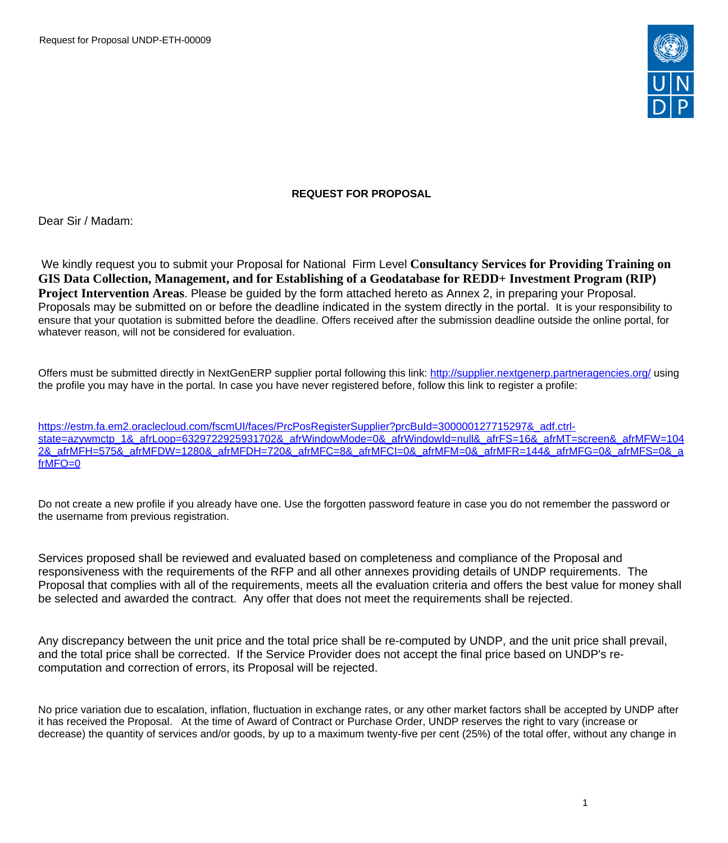

#### **REQUEST FOR PROPOSAL**

Dear Sir / Madam:

We kindly request you to submit your Proposal for National Firm Level **Consultancy Services for Providing Training on GIS Data Collection, Management, and for Establishing of a Geodatabase for REDD+ Investment Program (RIP) Project Intervention Areas**. Please be guided by the form attached hereto as Annex 2, in preparing your Proposal. Proposals may be submitted on or before the deadline indicated in the system directly in the portal. It is your responsibility to ensure that your quotation is submitted before the deadline. Offers received after the submission deadline outside the online portal, for whatever reason, will not be considered for evaluation.

Offers must be submitted directly in NextGenERP supplier portal following this link:<http://supplier.nextgenerp.partneragencies.org/>using the profile you may have in the portal. In case you have never registered before, follow this link to register a profile:

[https://estm.fa.em2.oraclecloud.com/fscmUI/faces/PrcPosRegisterSupplier?prcBuId=300000127715297&\\_adf.ctrl](https://estm.fa.em2.oraclecloud.com/fscmUI/faces/PrcPosRegisterSupplier?prcBuId=300000127715297&_adf.ctrl-state=azywmctp_1&_afrLoop=6329722925931702&_afrWindowMode=0&_afrWindowId=null&_afrFS=16&_afrMT=screen&_afrMFW=1042&_afrMFH=575&_afrMFDW=1280&_afrMFDH=720&_afrMFC=8&_afrMFCI=0&_afrMFM=0&_afrMFR=144&_afrMFG=0&_afrMFS=0&_afrMFO=0)[state=azywmctp\\_1&\\_afrLoop=6329722925931702&\\_afrWindowMode=0&\\_afrWindowId=null&\\_afrFS=16&\\_afrMT=screen&\\_afrMFW=104](https://estm.fa.em2.oraclecloud.com/fscmUI/faces/PrcPosRegisterSupplier?prcBuId=300000127715297&_adf.ctrl-state=azywmctp_1&_afrLoop=6329722925931702&_afrWindowMode=0&_afrWindowId=null&_afrFS=16&_afrMT=screen&_afrMFW=1042&_afrMFH=575&_afrMFDW=1280&_afrMFDH=720&_afrMFC=8&_afrMFCI=0&_afrMFM=0&_afrMFR=144&_afrMFG=0&_afrMFS=0&_afrMFO=0) [2&\\_afrMFH=575&\\_afrMFDW=1280&\\_afrMFDH=720&\\_afrMFC=8&\\_afrMFCI=0&\\_afrMFM=0&\\_afrMFR=144&\\_afrMFG=0&\\_afrMFS=0&\\_a](https://estm.fa.em2.oraclecloud.com/fscmUI/faces/PrcPosRegisterSupplier?prcBuId=300000127715297&_adf.ctrl-state=azywmctp_1&_afrLoop=6329722925931702&_afrWindowMode=0&_afrWindowId=null&_afrFS=16&_afrMT=screen&_afrMFW=1042&_afrMFH=575&_afrMFDW=1280&_afrMFDH=720&_afrMFC=8&_afrMFCI=0&_afrMFM=0&_afrMFR=144&_afrMFG=0&_afrMFS=0&_afrMFO=0) [frMFO=0](https://estm.fa.em2.oraclecloud.com/fscmUI/faces/PrcPosRegisterSupplier?prcBuId=300000127715297&_adf.ctrl-state=azywmctp_1&_afrLoop=6329722925931702&_afrWindowMode=0&_afrWindowId=null&_afrFS=16&_afrMT=screen&_afrMFW=1042&_afrMFH=575&_afrMFDW=1280&_afrMFDH=720&_afrMFC=8&_afrMFCI=0&_afrMFM=0&_afrMFR=144&_afrMFG=0&_afrMFS=0&_afrMFO=0)

Do not create a new profile if you already have one. Use the forgotten password feature in case you do not remember the password or the username from previous registration.

Services proposed shall be reviewed and evaluated based on completeness and compliance of the Proposal and responsiveness with the requirements of the RFP and all other annexes providing details of UNDP requirements. The Proposal that complies with all of the requirements, meets all the evaluation criteria and offers the best value for money shall be selected and awarded the contract. Any offer that does not meet the requirements shall be rejected.

Any discrepancy between the unit price and the total price shall be re-computed by UNDP, and the unit price shall prevail, and the total price shall be corrected. If the Service Provider does not accept the final price based on UNDP's recomputation and correction of errors, its Proposal will be rejected.

No price variation due to escalation, inflation, fluctuation in exchange rates, or any other market factors shall be accepted by UNDP after it has received the Proposal. At the time of Award of Contract or Purchase Order, UNDP reserves the right to vary (increase or decrease) the quantity of services and/or goods, by up to a maximum twenty-five per cent (25%) of the total offer, without any change in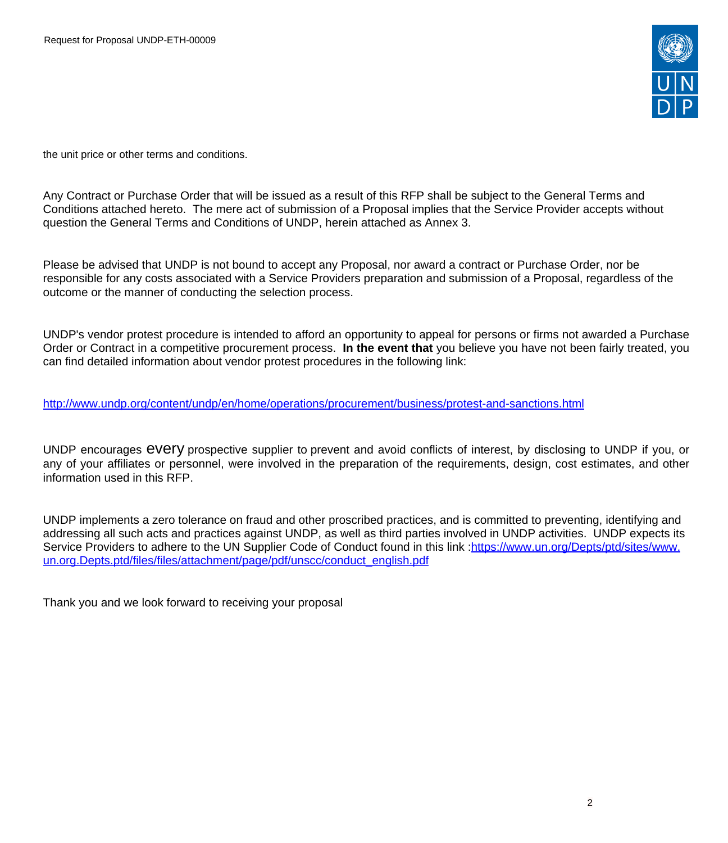

the unit price or other terms and conditions.

Any Contract or Purchase Order that will be issued as a result of this RFP shall be subject to the General Terms and Conditions attached hereto. The mere act of submission of a Proposal implies that the Service Provider accepts without question the General Terms and Conditions of UNDP, herein attached as Annex 3.

Please be advised that UNDP is not bound to accept any Proposal, nor award a contract or Purchase Order, nor be responsible for any costs associated with a Service Providers preparation and submission of a Proposal, regardless of the outcome or the manner of conducting the selection process.

UNDP's vendor protest procedure is intended to afford an opportunity to appeal for persons or firms not awarded a Purchase Order or Contract in a competitive procurement process. **In the event that** you believe you have not been fairly treated, you can find detailed information about vendor protest procedures in the following link:

<http://www.undp.org/content/undp/en/home/operations/procurement/business/protest-and-sanctions.html>

UNDP encourages every prospective supplier to prevent and avoid conflicts of interest, by disclosing to UNDP if you, or any of your affiliates or personnel, were involved in the preparation of the requirements, design, cost estimates, and other information used in this RFP.

UNDP implements a zero tolerance on fraud and other proscribed practices, and is committed to preventing, identifying and addressing all such acts and practices against UNDP, as well as third parties involved in UNDP activities. UNDP expects its Service Providers to adhere to the UN Supplier Code of Conduct found in this link :[https://www.un.org/Depts/ptd/sites/www.](https://www.un.org/Depts/ptd/sites/www.un.org.Depts.ptd/files/files/attachment/page/pdf/unscc/conduct_english.pdf) [un.org.Depts.ptd/files/files/attachment/page/pdf/unscc/conduct\\_english.pdf](https://www.un.org/Depts/ptd/sites/www.un.org.Depts.ptd/files/files/attachment/page/pdf/unscc/conduct_english.pdf)

Thank you and we look forward to receiving your proposal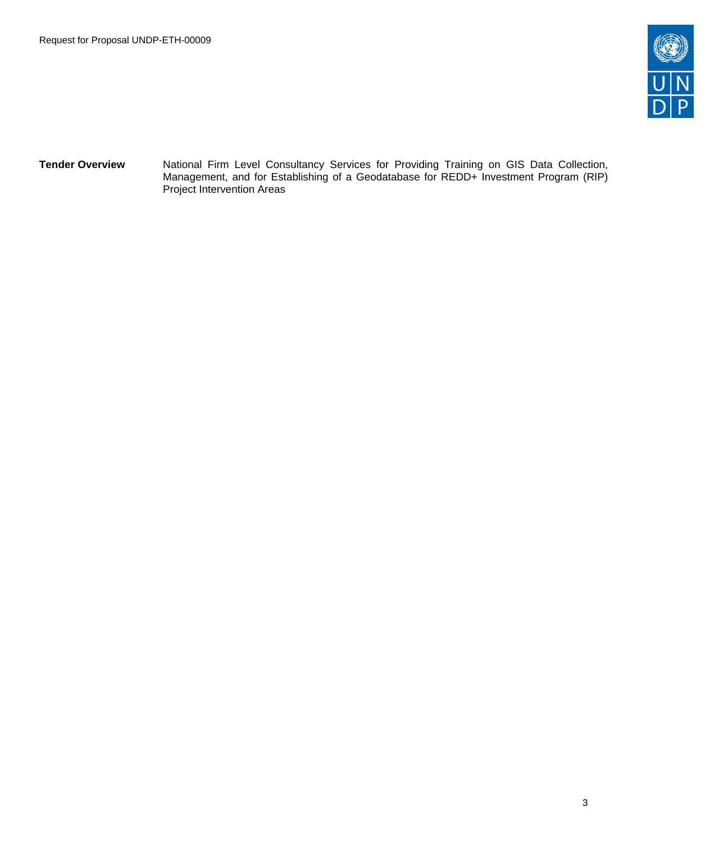

**Tender Overview** National Firm Level Consultancy Services for Providing Training on GIS Data Collection, Management, and for Establishing of a Geodatabase for REDD+ Investment Program (RIP) Project Intervention Areas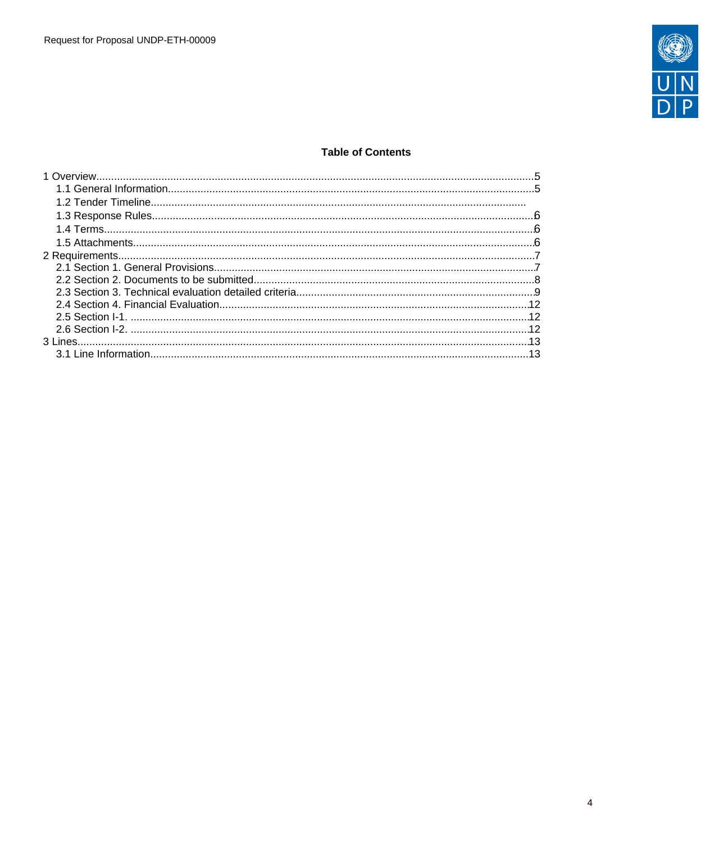

# **Table of Contents**

| $\ldots$ 13 |  |
|-------------|--|
|             |  |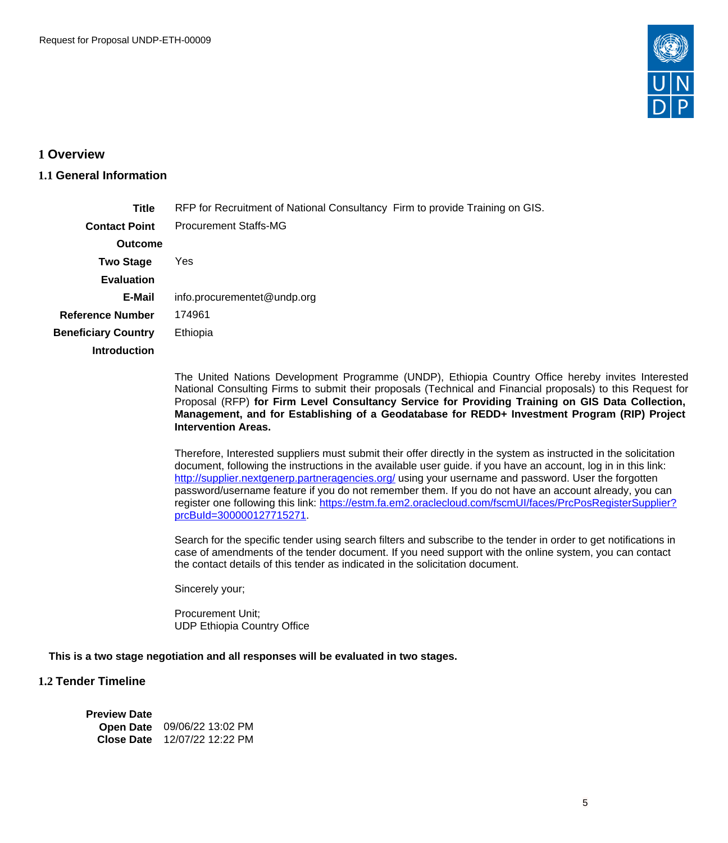

### <span id="page-4-0"></span>**1 Overview**

#### <span id="page-4-1"></span>**1.1 General Information**

| <b>Title</b>               | RFP for Recruitment of National Consultancy Firm to provide Training on GIS. |
|----------------------------|------------------------------------------------------------------------------|
| <b>Contact Point</b>       | <b>Procurement Staffs-MG</b>                                                 |
| <b>Outcome</b>             |                                                                              |
| <b>Two Stage</b>           | Yes                                                                          |
| <b>Evaluation</b>          |                                                                              |
| E-Mail                     | info.procurementet@undp.org                                                  |
| <b>Reference Number</b>    | 174961                                                                       |
| <b>Beneficiary Country</b> | Ethiopia                                                                     |
| <b>Introduction</b>        |                                                                              |
|                            |                                                                              |

The United Nations Development Programme (UNDP), Ethiopia Country Office hereby invites Interested National Consulting Firms to submit their proposals (Technical and Financial proposals) to this Request for Proposal (RFP) **for Firm Level Consultancy Service for Providing Training on GIS Data Collection, Management, and for Establishing of a Geodatabase for REDD+ Investment Program (RIP) Project Intervention Areas.** 

Therefore, Interested suppliers must submit their offer directly in the system as instructed in the solicitation document, following the instructions in the available user guide. if you have an account, log in in this link: <http://supplier.nextgenerp.partneragencies.org/> using your username and password. User the forgotten password/username feature if you do not remember them. If you do not have an account already, you can register one following this link: [https://estm.fa.em2.oraclecloud.com/fscmUI/faces/PrcPosRegisterSupplier?](https://estm.fa.em2.oraclecloud.com/fscmUI/faces/PrcPosRegisterSupplier?prcBuId=300000127715271) [prcBuId=300000127715271.](https://estm.fa.em2.oraclecloud.com/fscmUI/faces/PrcPosRegisterSupplier?prcBuId=300000127715271)

Search for the specific tender using search filters and subscribe to the tender in order to get notifications in case of amendments of the tender document. If you need support with the online system, you can contact the contact details of this tender as indicated in the solicitation document.

Sincerely your;

Procurement Unit; UDP Ethiopia Country Office

### **This is a two stage negotiation and all responses will be evaluated in two stages.**

# **1.2 Tender Timeline**

| <b>Preview Date</b> |                              |
|---------------------|------------------------------|
|                     | Open Date 09/06/22 13:02 PM  |
|                     | Close Date 12/07/22 12:22 PM |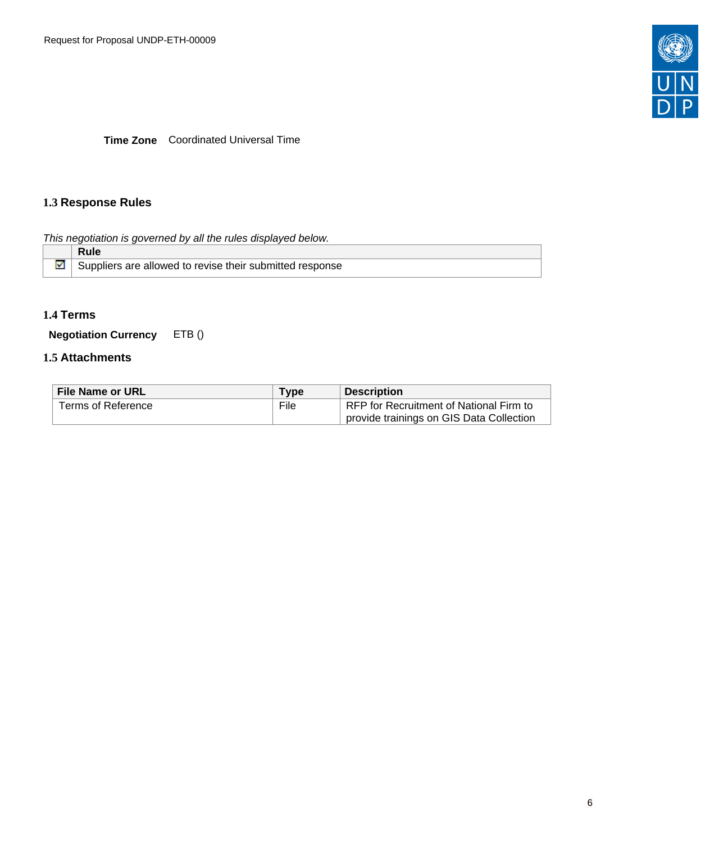

**Time Zone** Coordinated Universal Time

# <span id="page-5-0"></span>**1.3 Response Rules**

This negotiation is governed by all the rules displayed below.

| <b>Rule</b>                                              |
|----------------------------------------------------------|
| Suppliers are allowed to revise their submitted response |

# <span id="page-5-1"></span>**1.4 Terms**

**Negotiation Currency** ETB ()

## <span id="page-5-2"></span>**1.5 Attachments**

| <b>File Name or URL</b> | Type | <b>Description</b>                       |
|-------------------------|------|------------------------------------------|
| Terms of Reference      | File | RFP for Recruitment of National Firm to  |
|                         |      | provide trainings on GIS Data Collection |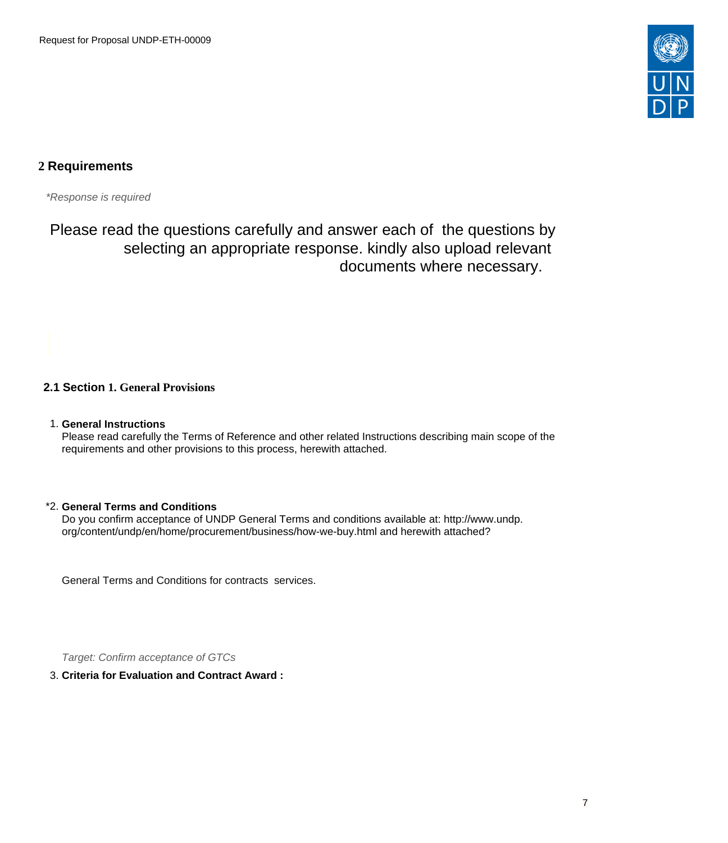

# <span id="page-6-0"></span>**2 Requirements**

\*Response is required

Please read the questions carefully and answer each of the questions by selecting an appropriate response. kindly also upload relevant documents where necessary.

# <span id="page-6-1"></span>**2.1 Section 1. General Provisions**

1. **General Instructions**

Please read carefully the Terms of Reference and other related Instructions describing main scope of the requirements and other provisions to this process, herewith attached.

#### \*2. **General Terms and Conditions**

Do you confirm acceptance of UNDP General Terms and conditions available at: http://www.undp. org/content/undp/en/home/procurement/business/how-we-buy.html and herewith attached?

General Terms and Conditions for contracts services.

Target: Confirm acceptance of GTCs

#### 3. **Criteria for Evaluation and Contract Award :**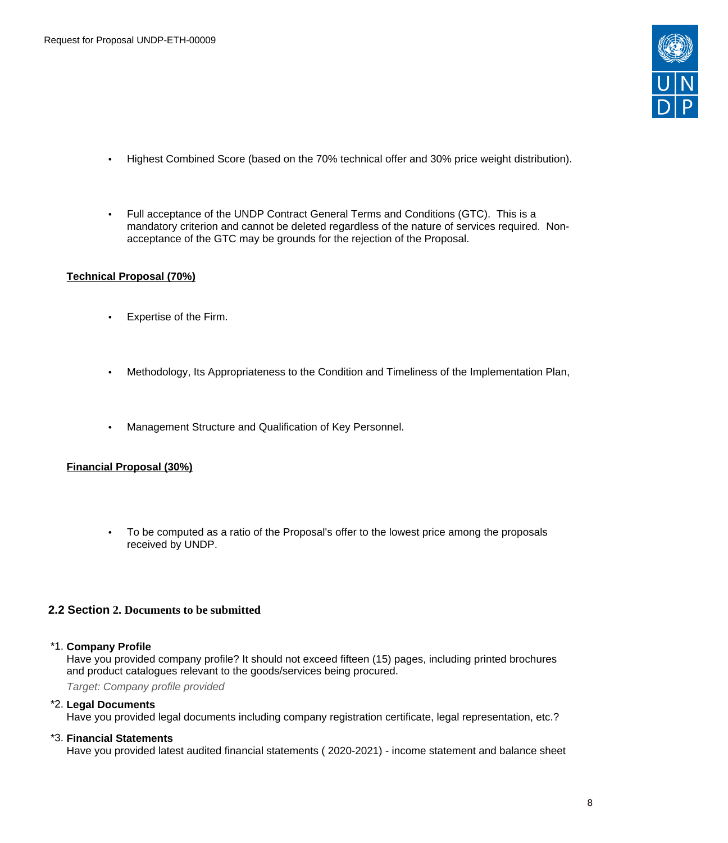

- Highest Combined Score (based on the 70% technical offer and 30% price weight distribution).
- Full acceptance of the UNDP Contract General Terms and Conditions (GTC). This is a mandatory criterion and cannot be deleted regardless of the nature of services required. Nonacceptance of the GTC may be grounds for the rejection of the Proposal.

#### **Technical Proposal (70%)**

- Expertise of the Firm.
- Methodology, Its Appropriateness to the Condition and Timeliness of the Implementation Plan,
- Management Structure and Qualification of Key Personnel.

### **Financial Proposal (30%)**

• To be computed as a ratio of the Proposal's offer to the lowest price among the proposals received by UNDP.

#### <span id="page-7-0"></span>**2.2 Section 2. Documents to be submitted**

#### \*1. **Company Profile**

Have you provided company profile? It should not exceed fifteen (15) pages, including printed brochures and product catalogues relevant to the goods/services being procured.

Target: Company profile provided

#### \*2. **Legal Documents**

Have you provided legal documents including company registration certificate, legal representation, etc.?

#### \*3. **Financial Statements**

Have you provided latest audited financial statements ( 2020-2021) - income statement and balance sheet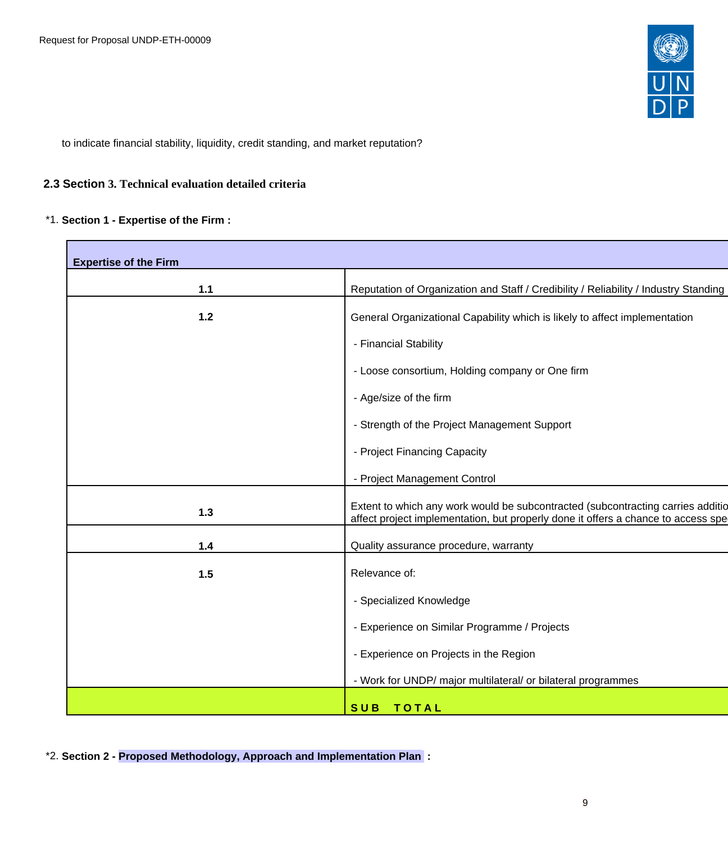

to indicate financial stability, liquidity, credit standing, and market reputation?

### <span id="page-8-0"></span>**2.3 Section 3. Technical evaluation detailed criteria**

### \*1. **Section 1 - Expertise of the Firm :**

Г

| <b>Expertise of the Firm</b> |                                                                                                                                                                      |
|------------------------------|----------------------------------------------------------------------------------------------------------------------------------------------------------------------|
|                              |                                                                                                                                                                      |
| $1.1$                        | Reputation of Organization and Staff / Credibility / Reliability / Industry Standing                                                                                 |
| $1.2$                        | General Organizational Capability which is likely to affect implementation                                                                                           |
|                              | - Financial Stability                                                                                                                                                |
|                              | - Loose consortium, Holding company or One firm                                                                                                                      |
|                              | - Age/size of the firm                                                                                                                                               |
|                              | - Strength of the Project Management Support                                                                                                                         |
|                              | - Project Financing Capacity                                                                                                                                         |
|                              | - Project Management Control                                                                                                                                         |
| $1.3$                        | Extent to which any work would be subcontracted (subcontracting carries additio<br>affect project implementation, but properly done it offers a chance to access spe |
| $1.4$                        | Quality assurance procedure, warranty                                                                                                                                |
| 1.5                          | Relevance of:                                                                                                                                                        |
|                              | - Specialized Knowledge                                                                                                                                              |
|                              | - Experience on Similar Programme / Projects                                                                                                                         |
|                              | - Experience on Projects in the Region                                                                                                                               |
|                              | - Work for UNDP/ major multilateral/ or bilateral programmes                                                                                                         |
|                              | SUB TOTAL                                                                                                                                                            |

\*2. **Section 2 - Proposed Methodology, Approach and Implementation Plan :**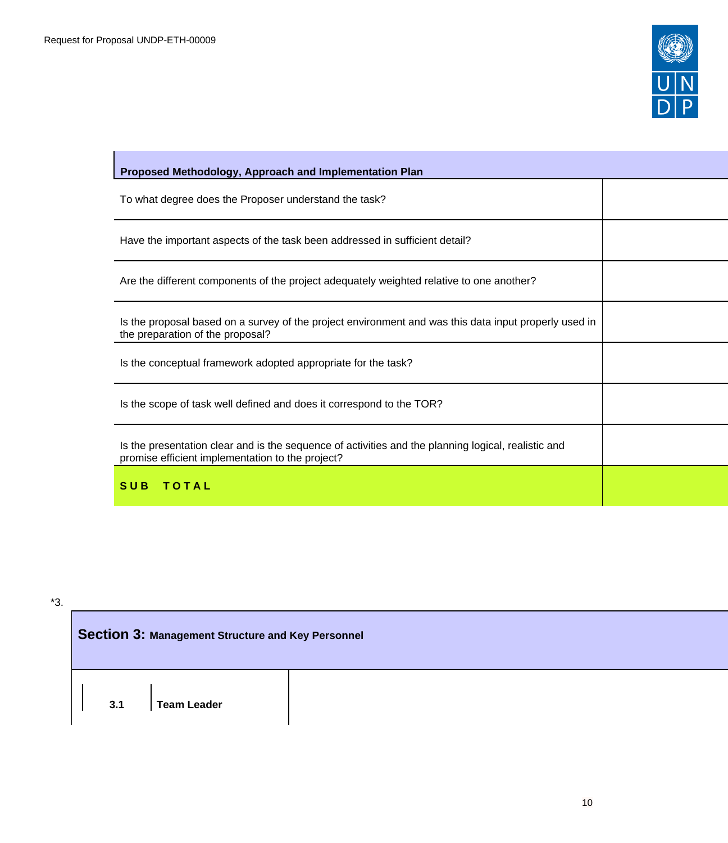$\mathbf{I}$ 



| Proposed Methodology, Approach and Implementation Plan                                                                                                  |  |
|---------------------------------------------------------------------------------------------------------------------------------------------------------|--|
| To what degree does the Proposer understand the task?                                                                                                   |  |
| Have the important aspects of the task been addressed in sufficient detail?                                                                             |  |
| Are the different components of the project adequately weighted relative to one another?                                                                |  |
| Is the proposal based on a survey of the project environment and was this data input properly used in<br>the preparation of the proposal?               |  |
| Is the conceptual framework adopted appropriate for the task?                                                                                           |  |
| Is the scope of task well defined and does it correspond to the TOR?                                                                                    |  |
| Is the presentation clear and is the sequence of activities and the planning logical, realistic and<br>promise efficient implementation to the project? |  |
| TOTAL<br><b>SUB</b>                                                                                                                                     |  |

\*3.

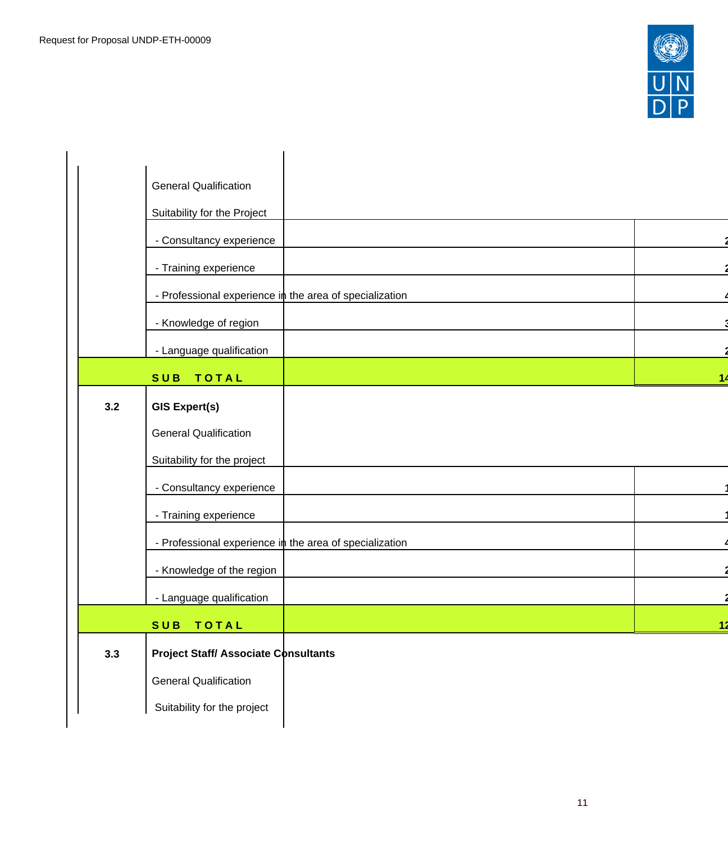

|     | <b>General Qualification</b>                            |            |
|-----|---------------------------------------------------------|------------|
|     | Suitability for the Project                             |            |
|     | - Consultancy experience                                |            |
|     | - Training experience                                   |            |
|     | - Professional experience in the area of specialization |            |
|     | - Knowledge of region                                   |            |
|     | - Language qualification                                |            |
|     | <b>TOTAL</b><br><b>SUB</b>                              | 14         |
| 3.2 | <b>GIS Expert(s)</b>                                    |            |
|     |                                                         |            |
|     | <b>General Qualification</b>                            |            |
|     | Suitability for the project                             |            |
|     | - Consultancy experience                                |            |
|     | - Training experience                                   |            |
|     | - Professional experience in the area of specialization |            |
|     | - Knowledge of the region                               |            |
|     | - Language qualification                                |            |
|     | SUB TOTAL                                               | <u> 12</u> |
| 3.3 | <b>Project Staff/ Associate Consultants</b>             |            |
|     |                                                         |            |
|     | <b>General Qualification</b>                            |            |
|     | Suitability for the project                             |            |
|     |                                                         |            |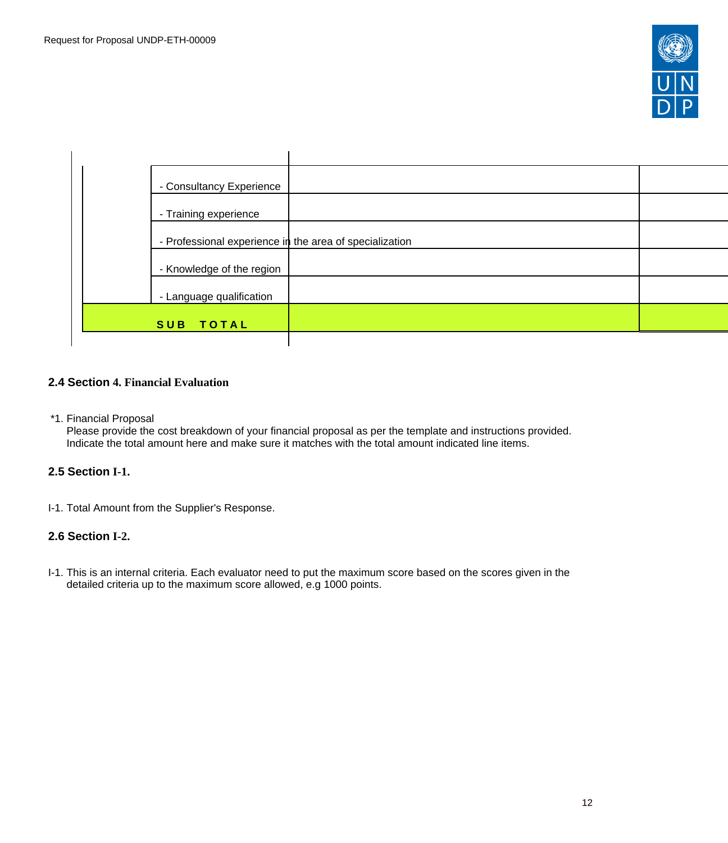

| - Consultancy Experience                                |
|---------------------------------------------------------|
| - Training experience                                   |
| - Professional experience in the area of specialization |
|                                                         |
| - Knowledge of the region                               |
| - Language qualification                                |
| SUB TOTAL                                               |

### <span id="page-11-0"></span>**2.4 Section 4. Financial Evaluation**

\*1. Financial Proposal

Please provide the cost breakdown of your financial proposal as per the template and instructions provided. Indicate the total amount here and make sure it matches with the total amount indicated line items.

## <span id="page-11-1"></span>**2.5 Section I-1.**

I-1. Total Amount from the Supplier's Response.

### <span id="page-11-2"></span>**2.6 Section I-2.**

I-1. This is an internal criteria. Each evaluator need to put the maximum score based on the scores given in the detailed criteria up to the maximum score allowed, e.g 1000 points.